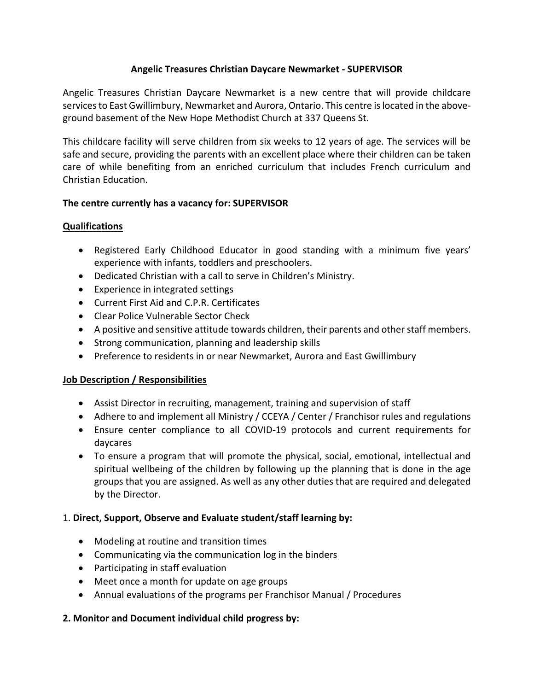## **Angelic Treasures Christian Daycare Newmarket - SUPERVISOR**

Angelic Treasures Christian Daycare Newmarket is a new centre that will provide childcare services to East Gwillimbury, Newmarket and Aurora, Ontario. This centre is located in the aboveground basement of the New Hope Methodist Church at 337 Queens St.

This childcare facility will serve children from six weeks to 12 years of age. The services will be safe and secure, providing the parents with an excellent place where their children can be taken care of while benefiting from an enriched curriculum that includes French curriculum and Christian Education.

## **The centre currently has a vacancy for: SUPERVISOR**

## **Qualifications**

- Registered Early Childhood Educator in good standing with a minimum five years' experience with infants, toddlers and preschoolers.
- Dedicated Christian with a call to serve in Children's Ministry.
- Experience in integrated settings
- Current First Aid and C.P.R. Certificates
- Clear Police Vulnerable Sector Check
- A positive and sensitive attitude towards children, their parents and other staff members.
- Strong communication, planning and leadership skills
- Preference to residents in or near Newmarket, Aurora and East Gwillimbury

#### **Job Description / Responsibilities**

- Assist Director in recruiting, management, training and supervision of staff
- Adhere to and implement all Ministry / CCEYA / Center / Franchisor rules and regulations
- Ensure center compliance to all COVID-19 protocols and current requirements for daycares
- To ensure a program that will promote the physical, social, emotional, intellectual and spiritual wellbeing of the children by following up the planning that is done in the age groups that you are assigned. As well as any other duties that are required and delegated by the Director.

## 1. **Direct, Support, Observe and Evaluate student/staff learning by:**

- Modeling at routine and transition times
- Communicating via the communication log in the binders
- Participating in staff evaluation
- Meet once a month for update on age groups
- Annual evaluations of the programs per Franchisor Manual / Procedures

#### **2. Monitor and Document individual child progress by:**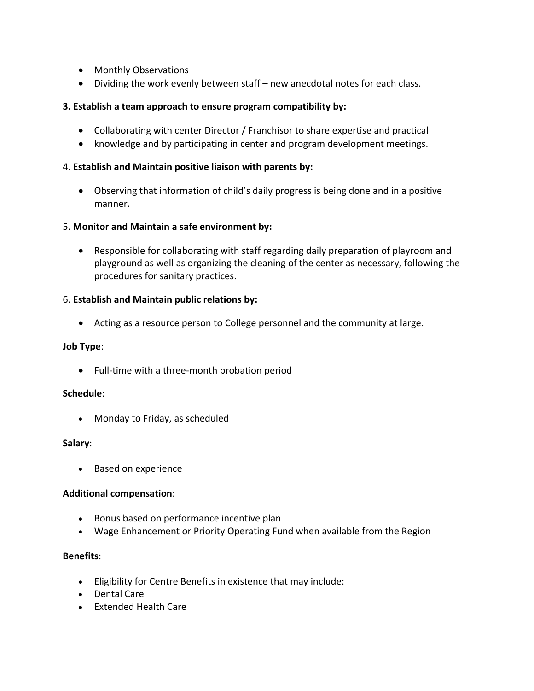- Monthly Observations
- Dividing the work evenly between staff new anecdotal notes for each class.

#### **3. Establish a team approach to ensure program compatibility by:**

- Collaborating with center Director / Franchisor to share expertise and practical
- knowledge and by participating in center and program development meetings.

#### 4. **Establish and Maintain positive liaison with parents by:**

• Observing that information of child's daily progress is being done and in a positive manner.

#### 5. **Monitor and Maintain a safe environment by:**

• Responsible for collaborating with staff regarding daily preparation of playroom and playground as well as organizing the cleaning of the center as necessary, following the procedures for sanitary practices.

## 6. **Establish and Maintain public relations by:**

• Acting as a resource person to College personnel and the community at large.

#### **Job Type**:

• Full-time with a three-month probation period

#### **Schedule**:

• Monday to Friday, as scheduled

#### **Salary**:

• Based on experience

#### **Additional compensation**:

- Bonus based on performance incentive plan
- Wage Enhancement or Priority Operating Fund when available from the Region

#### **Benefits**:

- Eligibility for Centre Benefits in existence that may include:
- Dental Care
- Extended Health Care